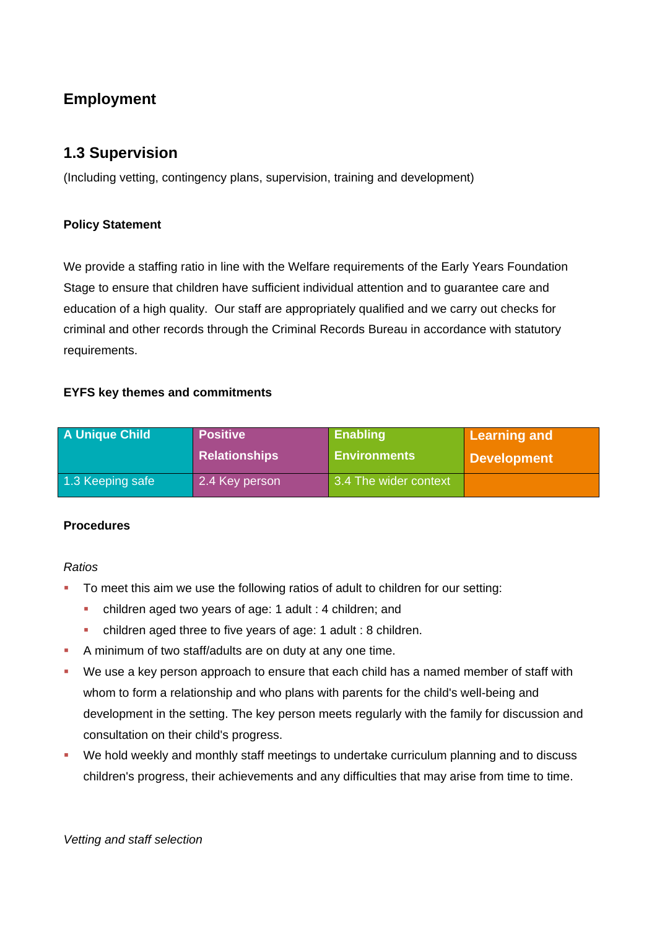# **Employment**

# **1.3 Supervision**

(Including vetting, contingency plans, supervision, training and development)

#### **Policy Statement**

We provide a staffing ratio in line with the Welfare requirements of the Early Years Foundation Stage to ensure that children have sufficient individual attention and to guarantee care and education of a high quality. Our staff are appropriately qualified and we carry out checks for criminal and other records through the Criminal Records Bureau in accordance with statutory requirements.

#### **EYFS key themes and commitments**

| <b>A Unique Child</b> | <b>Positive</b>      | <b>Enabling</b>       | Learning and       |
|-----------------------|----------------------|-----------------------|--------------------|
|                       | <b>Relationships</b> | <b>Environments</b>   | <b>Development</b> |
| 1.3 Keeping safe      | 2.4 Key person       | 3.4 The wider context |                    |

#### **Procedures**

#### *Ratios*

- To meet this aim we use the following ratios of adult to children for our setting:
	- children aged two years of age: 1 adult : 4 children; and
	- children aged three to five years of age: 1 adult : 8 children.
- A minimum of two staff/adults are on duty at any one time.
- We use a key person approach to ensure that each child has a named member of staff with whom to form a relationship and who plans with parents for the child's well-being and development in the setting. The key person meets regularly with the family for discussion and consultation on their child's progress.
- We hold weekly and monthly staff meetings to undertake curriculum planning and to discuss children's progress, their achievements and any difficulties that may arise from time to time.

*Vetting and staff selection*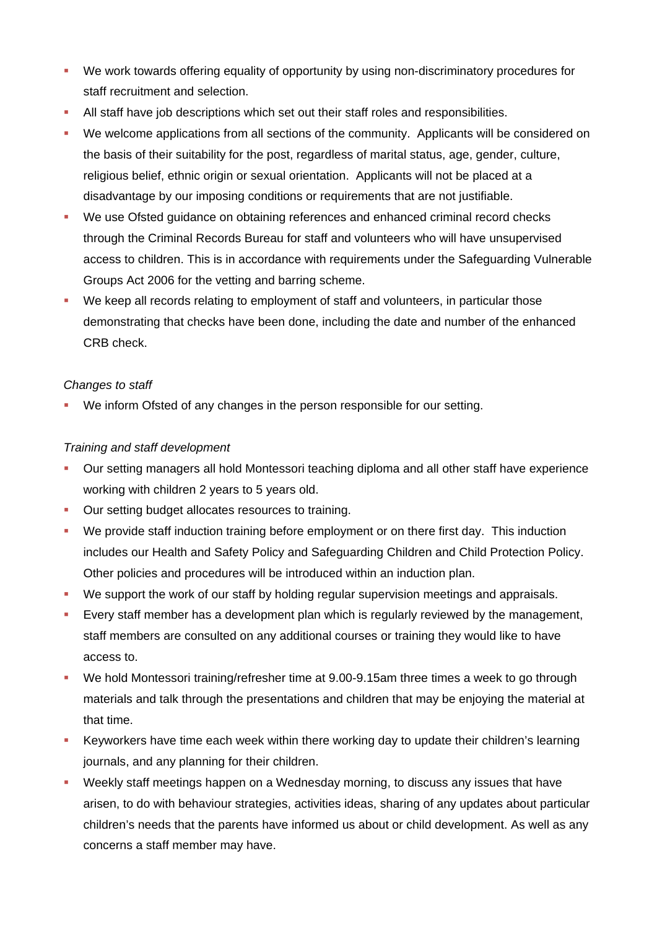- We work towards offering equality of opportunity by using non-discriminatory procedures for staff recruitment and selection.
- All staff have job descriptions which set out their staff roles and responsibilities.
- We welcome applications from all sections of the community. Applicants will be considered on the basis of their suitability for the post, regardless of marital status, age, gender, culture, religious belief, ethnic origin or sexual orientation. Applicants will not be placed at a disadvantage by our imposing conditions or requirements that are not justifiable.
- We use Ofsted guidance on obtaining references and enhanced criminal record checks through the Criminal Records Bureau for staff and volunteers who will have unsupervised access to children. This is in accordance with requirements under the Safeguarding Vulnerable Groups Act 2006 for the vetting and barring scheme.
- We keep all records relating to employment of staff and volunteers, in particular those demonstrating that checks have been done, including the date and number of the enhanced CRB check.

# *Changes to staff*

We inform Ofsted of any changes in the person responsible for our setting.

# *Training and staff development*

- Our setting managers all hold Montessori teaching diploma and all other staff have experience working with children 2 years to 5 years old.
- **Our setting budget allocates resources to training.**
- We provide staff induction training before employment or on there first day. This induction includes our Health and Safety Policy and Safeguarding Children and Child Protection Policy. Other policies and procedures will be introduced within an induction plan.
- We support the work of our staff by holding regular supervision meetings and appraisals.
- Every staff member has a development plan which is regularly reviewed by the management, staff members are consulted on any additional courses or training they would like to have access to.
- We hold Montessori training/refresher time at 9.00-9.15am three times a week to go through materials and talk through the presentations and children that may be enjoying the material at that time.
- Keyworkers have time each week within there working day to update their children's learning journals, and any planning for their children.
- Weekly staff meetings happen on a Wednesday morning, to discuss any issues that have arisen, to do with behaviour strategies, activities ideas, sharing of any updates about particular children's needs that the parents have informed us about or child development. As well as any concerns a staff member may have.